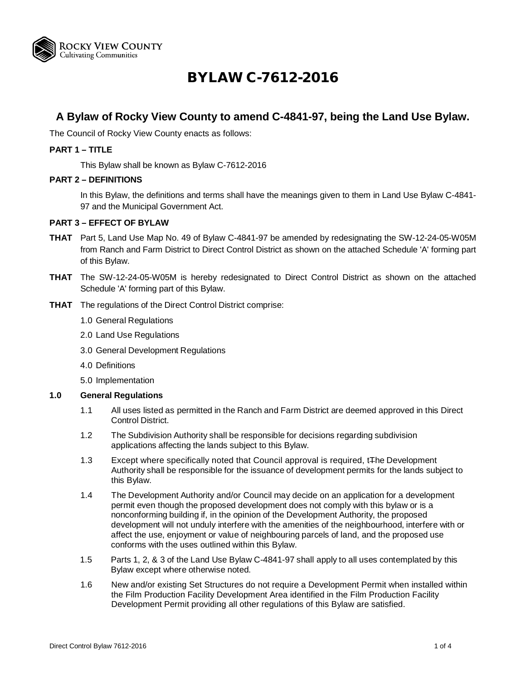

# BYLAW C-7612-2016

# **A Bylaw of Rocky View County to amend C-4841-97, being the Land Use Bylaw.**

The Council of Rocky View County enacts as follows:

#### **PART 1 – TITLE**

This Bylaw shall be known as Bylaw C-7612-2016

#### **PART 2 – DEFINITIONS**

In this Bylaw, the definitions and terms shall have the meanings given to them in Land Use Bylaw C-4841- 97 and the Municipal Government Act.

#### **PART 3 – EFFECT OF BYLAW**

- **THAT** Part 5, Land Use Map No. 49 of Bylaw C-4841-97 be amended by redesignating the SW-12-24-05-W05M from Ranch and Farm District to Direct Control District as shown on the attached Schedule 'A' forming part of this Bylaw.
- **THAT** The SW-12-24-05-W05M is hereby redesignated to Direct Control District as shown on the attached Schedule 'A' forming part of this Bylaw.
- **THAT** The regulations of the Direct Control District comprise:
	- 1.0 General Regulations
	- 2.0 Land Use Regulations
	- 3.0 General Development Regulations
	- 4.0 Definitions
	- 5.0 Implementation

#### **1.0 General Regulations**

- 1.1 All uses listed as permitted in the Ranch and Farm District are deemed approved in this Direct Control District.
- 1.2 The Subdivision Authority shall be responsible for decisions regarding subdivision applications affecting the lands subject to this Bylaw.
- 1.3 Except where specifically noted that Council approval is required, tThe Development Authority shall be responsible for the issuance of development permits for the lands subject to this Bylaw.
- 1.4 The Development Authority and/or Council may decide on an application for a development permit even though the proposed development does not comply with this bylaw or is a nonconforming building if, in the opinion of the Development Authority, the proposed development will not unduly interfere with the amenities of the neighbourhood, interfere with or affect the use, enjoyment or value of neighbouring parcels of land, and the proposed use conforms with the uses outlined within this Bylaw.
- 1.5 Parts 1, 2, & 3 of the Land Use Bylaw C-4841-97 shall apply to all uses contemplated by this Bylaw except where otherwise noted.
- 1.6 New and/or existing Set Structures do not require a Development Permit when installed within the Film Production Facility Development Area identified in the Film Production Facility Development Permit providing all other regulations of this Bylaw are satisfied.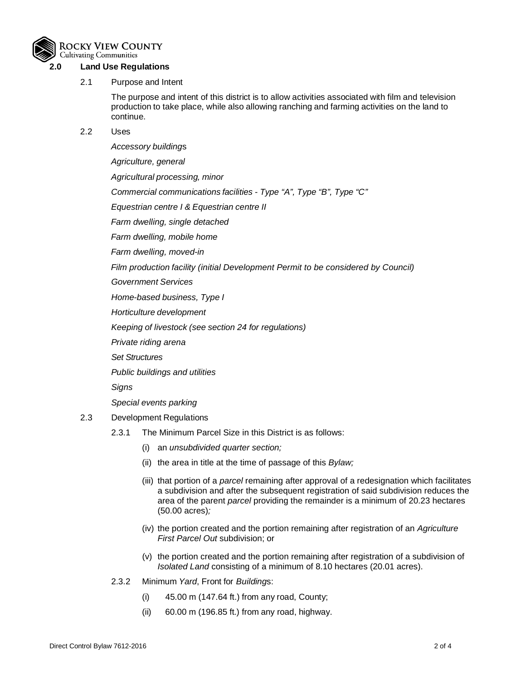

## **2.0 Land Use Regulations**

#### 2.1 Purpose and Intent

The purpose and intent of this district is to allow activities associated with film and television production to take place, while also allowing ranching and farming activities on the land to continue.

#### 2.2 Uses

*Accessory building*s *Agriculture, general Agricultural processing, minor Commercial communications facilities - Type "A", Type "B", Type "C" Equestrian centre I & Equestrian centre II Farm dwelling, single detached Farm dwelling, mobile home Farm dwelling, moved-in Film production facility (initial Development Permit to be considered by Council) Government Services Home-based business, Type I Horticulture development Keeping of livestock (see section 24 for regulations) Private riding arena Set Structures Public buildings and utilities Signs Special events parking* 2.3 Development Regulations

- 2.3.1 The Minimum Parcel Size in this District is as follows:
	- (i) an *unsubdivided quarter section;*
	- (ii) the area in title at the time of passage of this *Bylaw;*
	- (iii) that portion of a *parcel* remaining after approval of a redesignation which facilitates a subdivision and after the subsequent registration of said subdivision reduces the area of the parent *parcel* providing the remainder is a minimum of 20.23 hectares (50.00 acres)*;*
	- (iv) the portion created and the portion remaining after registration of an *Agriculture First Parcel Out* subdivision; or
	- (v) the portion created and the portion remaining after registration of a subdivision of *Isolated Land* consisting of a minimum of 8.10 hectares (20.01 acres).
- 2.3.2 Minimum *Yard*, Front for *Building*s:
	- (i) 45.00 m (147.64 ft.) from any road, County;
	- (ii) 60.00 m (196.85 ft.) from any road, highway.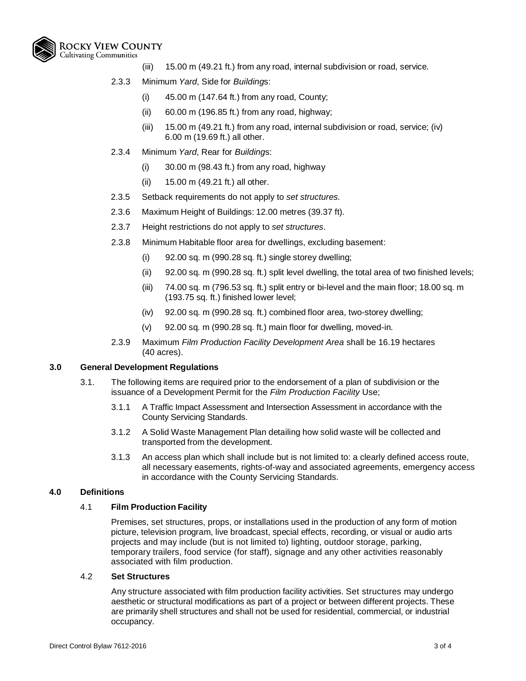

- (iii) 15.00 m (49.21 ft.) from any road, internal subdivision or road, service.
- 2.3.3 Minimum *Yard*, Side for *Building*s:
	- (i) 45.00 m (147.64 ft.) from any road, County;
	- (ii) 60.00 m (196.85 ft.) from any road, highway;
	- (iii) 15.00 m (49.21 ft.) from any road, internal subdivision or road, service; (iv) 6.00 m (19.69 ft.) all other.
- 2.3.4 Minimum *Yard*, Rear for *Building*s:
	- (i) 30.00 m (98.43 ft.) from any road, highway
	- (ii) 15.00 m (49.21 ft.) all other.
- 2.3.5 Setback requirements do not apply to *set structures.*
- 2.3.6 Maximum Height of Buildings: 12.00 metres (39.37 ft).
- 2.3.7 Height restrictions do not apply to *set structures*.
- 2.3.8 Minimum Habitable floor area for dwellings, excluding basement:
	- (i) 92.00 sq. m (990.28 sq. ft.) single storey dwelling;
	- (ii) 92.00 sq. m (990.28 sq. ft.) split level dwelling, the total area of two finished levels;
	- (iii) 74.00 sq. m (796.53 sq. ft.) split entry or bi-level and the main floor; 18.00 sq. m (193.75 sq. ft.) finished lower level;
	- (iv) 92.00 sq. m (990.28 sq. ft.) combined floor area, two-storey dwelling;
	- (v) 92.00 sq. m (990.28 sq. ft.) main floor for dwelling, moved-in.
- 2.3.9 Maximum *Film Production Facility Development Area* shall be 16.19 hectares (40 acres).

#### **3.0 General Development Regulations**

- 3.1. The following items are required prior to the endorsement of a plan of subdivision or the issuance of a Development Permit for the *Film Production Facility* Use;
	- 3.1.1 A Traffic Impact Assessment and Intersection Assessment in accordance with the County Servicing Standards.
	- 3.1.2 A Solid Waste Management Plan detailing how solid waste will be collected and transported from the development.
	- 3.1.3 An access plan which shall include but is not limited to: a clearly defined access route, all necessary easements, rights-of-way and associated agreements, emergency access in accordance with the County Servicing Standards.

#### **4.0 Definitions**

#### 4.1 **Film Production Facility**

Premises, set structures, props, or installations used in the production of any form of motion picture, television program, live broadcast, special effects, recording, or visual or audio arts projects and may include (but is not limited to) lighting, outdoor storage, parking, temporary trailers, food service (for staff), signage and any other activities reasonably associated with film production.

#### 4.2 **Set Structures**

Any structure associated with film production facility activities. Set structures may undergo aesthetic or structural modifications as part of a project or between different projects. These are primarily shell structures and shall not be used for residential, commercial, or industrial occupancy.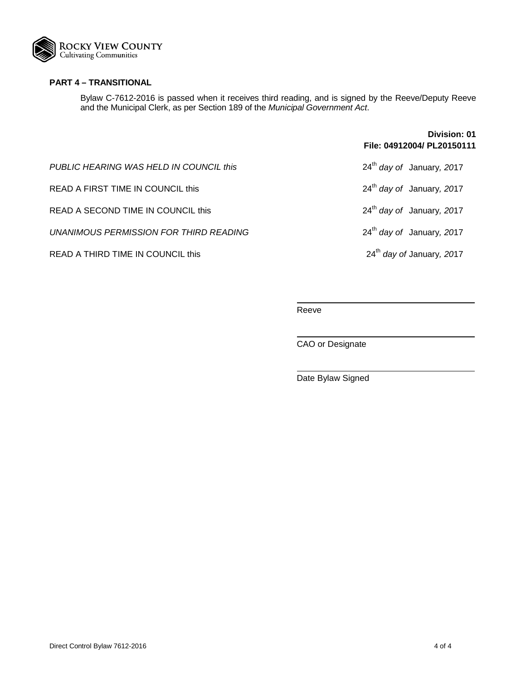

## **PART 4 – TRANSITIONAL**

Bylaw C-7612-2016 is passed when it receives third reading, and is signed by the Reeve/Deputy Reeve and the Municipal Clerk, as per Section 189 of the *Municipal Government Act*.

|                                         | Division: 01<br>File: 04912004/ PL20150111 |
|-----------------------------------------|--------------------------------------------|
| PUBLIC HEARING WAS HELD IN COUNCIL this | $24th$ day of January, 2017                |
| READ A FIRST TIME IN COUNCIL this       | $24th$ day of January, 2017                |
| READ A SECOND TIME IN COUNCIL this      | $24th$ day of January, 2017                |
| UNANIMOUS PERMISSION FOR THIRD READING  | $24th$ day of January, 2017                |
| READ A THIRD TIME IN COUNCIL this       | 24 <sup>th</sup> day of January, 2017      |

Reeve

CAO or Designate

Date Bylaw Signed